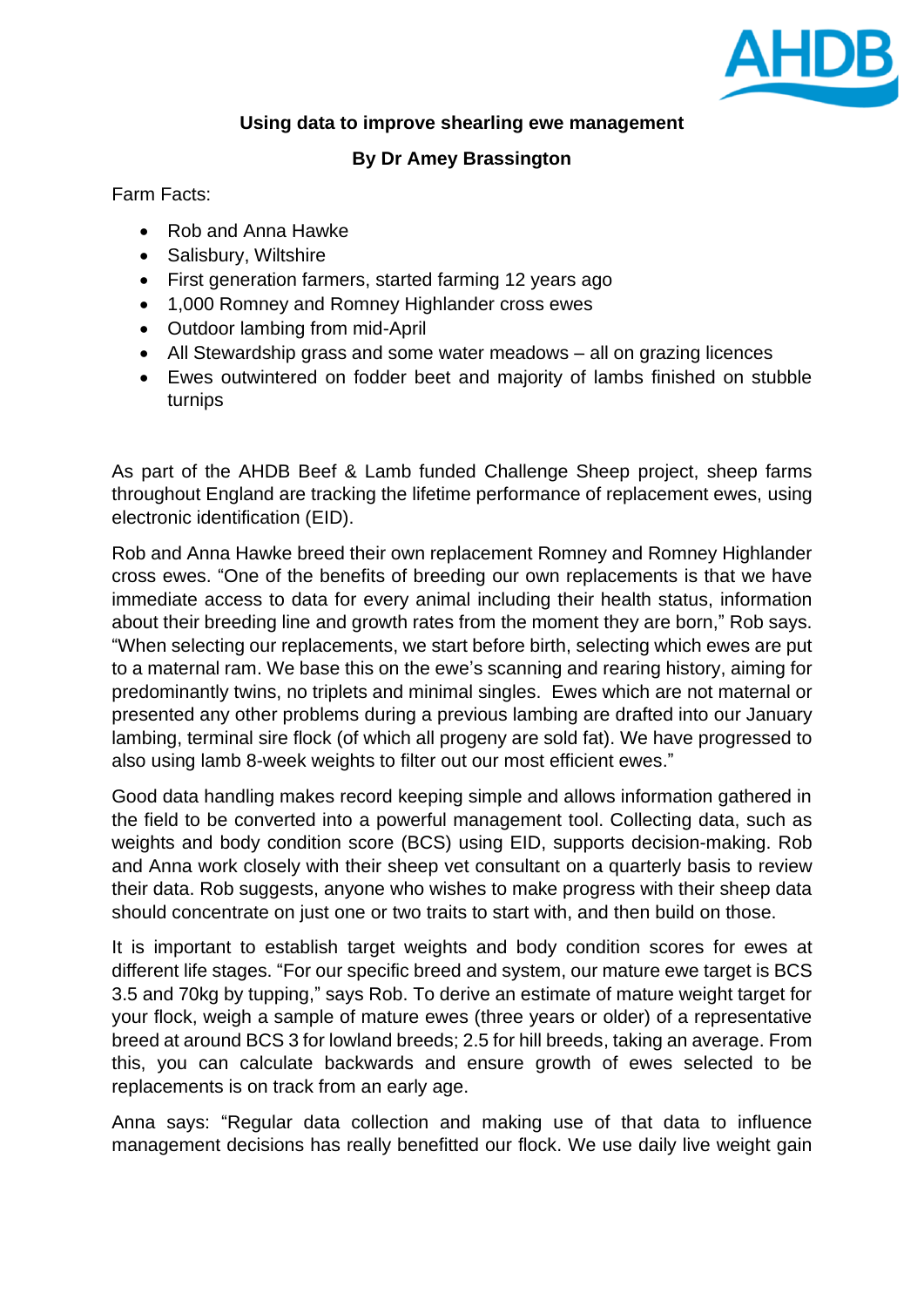

## **Using data to improve shearling ewe management**

## **By Dr Amey Brassington**

Farm Facts:

- Rob and Anna Hawke
- Salisbury, Wiltshire
- First generation farmers, started farming 12 years ago
- 1,000 Romney and Romney Highlander cross ewes
- Outdoor lambing from mid-April
- All Stewardship grass and some water meadows all on grazing licences
- Ewes outwintered on fodder beet and majority of lambs finished on stubble turnips

As part of the AHDB Beef & Lamb funded Challenge Sheep project, sheep farms throughout England are tracking the lifetime performance of replacement ewes, using electronic identification (EID).

Rob and Anna Hawke breed their own replacement Romney and Romney Highlander cross ewes. "One of the benefits of breeding our own replacements is that we have immediate access to data for every animal including their health status, information about their breeding line and growth rates from the moment they are born," Rob says. "When selecting our replacements, we start before birth, selecting which ewes are put to a maternal ram. We base this on the ewe's scanning and rearing history, aiming for predominantly twins, no triplets and minimal singles. Ewes which are not maternal or presented any other problems during a previous lambing are drafted into our January lambing, terminal sire flock (of which all progeny are sold fat). We have progressed to also using lamb 8-week weights to filter out our most efficient ewes."

Good data handling makes record keeping simple and allows information gathered in the field to be converted into a powerful management tool. Collecting data, such as weights and body condition score (BCS) using EID, supports decision-making. Rob and Anna work closely with their sheep vet consultant on a quarterly basis to review their data. Rob suggests, anyone who wishes to make progress with their sheep data should concentrate on just one or two traits to start with, and then build on those.

It is important to establish target weights and body condition scores for ewes at different life stages. "For our specific breed and system, our mature ewe target is BCS 3.5 and 70kg by tupping," says Rob. To derive an estimate of mature weight target for your flock, weigh a sample of mature ewes (three years or older) of a representative breed at around BCS 3 for lowland breeds; 2.5 for hill breeds, taking an average. From this, you can calculate backwards and ensure growth of ewes selected to be replacements is on track from an early age.

Anna says: "Regular data collection and making use of that data to influence management decisions has really benefitted our flock. We use daily live weight gain